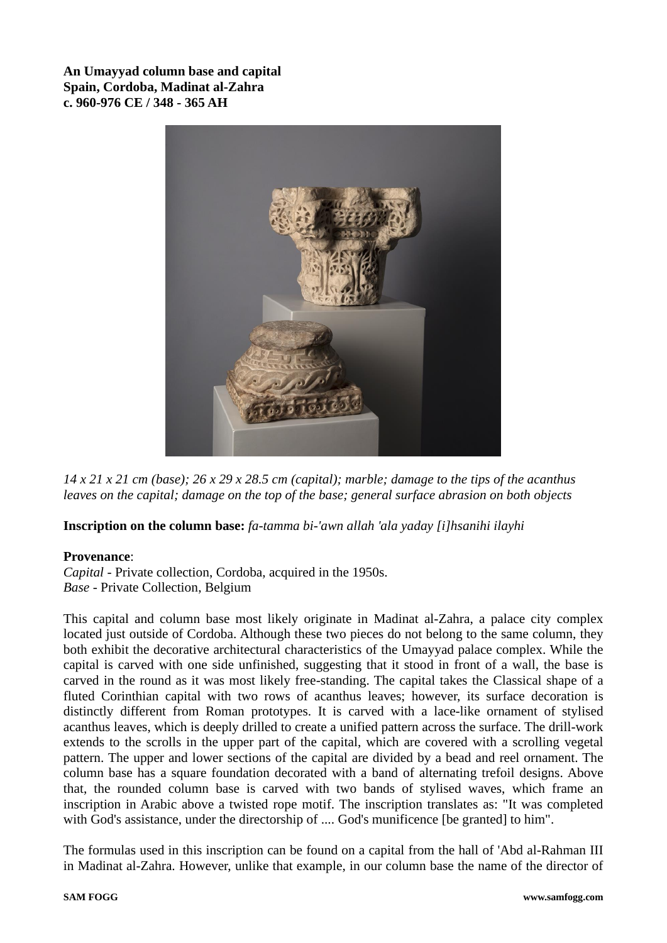**An Umayyad column base and capital Spain, Cordoba, Madinat al-Zahra c. 960-976 CE / 348 - 365 AH**



*14 x 21 x 21 cm (base); 26 x 29 x 28.5 cm (capital); marble; damage to the tips of the acanthus leaves on the capital; damage on the top of the base; general surface abrasion on both objects*

**Inscription on the column base:** *fa-tamma bi-'awn allah 'ala yaday [i]hsanihi ilayhi*

## **Provenance**:

*Capital -* Private collection, Cordoba, acquired in the 1950s. *Base -* Private Collection, Belgium

This capital and column base most likely originate in Madinat al-Zahra, a palace city complex located just outside of Cordoba. Although these two pieces do not belong to the same column, they both exhibit the decorative architectural characteristics of the Umayyad palace complex. While the capital is carved with one side unfinished, suggesting that it stood in front of a wall, the base is carved in the round as it was most likely free-standing. The capital takes the Classical shape of a fluted Corinthian capital with two rows of acanthus leaves; however, its surface decoration is distinctly different from Roman prototypes. It is carved with a lace-like ornament of stylised acanthus leaves, which is deeply drilled to create a unified pattern across the surface. The drill-work extends to the scrolls in the upper part of the capital, which are covered with a scrolling vegetal pattern. The upper and lower sections of the capital are divided by a bead and reel ornament. The column base has a square foundation decorated with a band of alternating trefoil designs. Above that, the rounded column base is carved with two bands of stylised waves, which frame an inscription in Arabic above a twisted rope motif. The inscription translates as: "It was completed with God's assistance, under the directorship of .... God's munificence [be granted] to him".

The formulas used in this inscription can be found on a capital from the hall of 'Abd al-Rahman III in Madinat al-Zahra. However, unlike that example, in our column base the name of the director of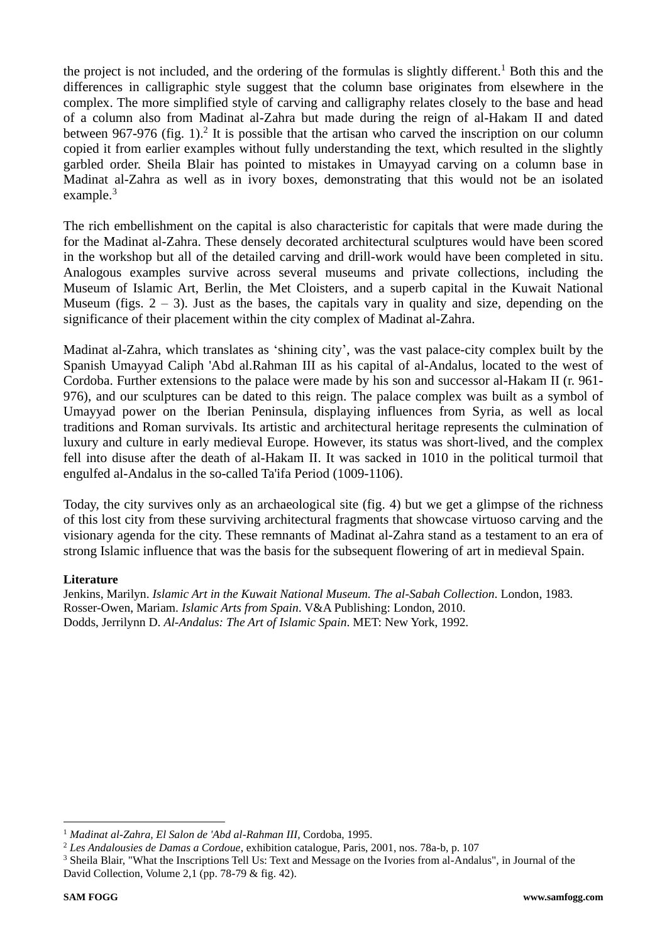the project is not included, and the ordering of the formulas is slightly different. <sup>1</sup> Both this and the differences in calligraphic style suggest that the column base originates from elsewhere in the complex. The more simplified style of carving and calligraphy relates closely to the base and head of a column also from Madinat al-Zahra but made during the reign of al-Hakam II and dated between 967-976 (fig. 1).<sup>2</sup> It is possible that the artisan who carved the inscription on our column copied it from earlier examples without fully understanding the text, which resulted in the slightly garbled order. Sheila Blair has pointed to mistakes in Umayyad carving on a column base in Madinat al-Zahra as well as in ivory boxes, demonstrating that this would not be an isolated example.<sup>3</sup>

The rich embellishment on the capital is also characteristic for capitals that were made during the for the Madinat al-Zahra. These densely decorated architectural sculptures would have been scored in the workshop but all of the detailed carving and drill-work would have been completed in situ. Analogous examples survive across several museums and private collections, including the Museum of Islamic Art, Berlin, the Met Cloisters, and a superb capital in the Kuwait National Museum (figs.  $2 - 3$ ). Just as the bases, the capitals vary in quality and size, depending on the significance of their placement within the city complex of Madinat al-Zahra.

Madinat al-Zahra, which translates as 'shining city', was the vast palace-city complex built by the Spanish Umayyad Caliph 'Abd al.Rahman III as his capital of al-Andalus, located to the west of Cordoba. Further extensions to the palace were made by his son and successor al-Hakam II (r. 961- 976), and our sculptures can be dated to this reign. The palace complex was built as a symbol of Umayyad power on the Iberian Peninsula, displaying influences from Syria, as well as local traditions and Roman survivals. Its artistic and architectural heritage represents the culmination of luxury and culture in early medieval Europe. However, its status was short-lived, and the complex fell into disuse after the death of al-Hakam II. It was sacked in 1010 in the political turmoil that engulfed al-Andalus in the so-called Ta'ifa Period (1009-1106).

Today, the city survives only as an archaeological site (fig. 4) but we get a glimpse of the richness of this lost city from these surviving architectural fragments that showcase virtuoso carving and the visionary agenda for the city. These remnants of Madinat al-Zahra stand as a testament to an era of strong Islamic influence that was the basis for the subsequent flowering of art in medieval Spain.

## **Literature**

Jenkins, Marilyn. *Islamic Art in the Kuwait National Museum. The al-Sabah Collection*. London, 1983. Rosser-Owen, Mariam. *Islamic Arts from Spain*. V&A Publishing: London, 2010. Dodds, Jerrilynn D. *Al-Andalus: The Art of Islamic Spain*. MET: New York, 1992.

<sup>1</sup> *Madinat al-Zahra, El Salon de 'Abd al-Rahman III,* Cordoba, 1995.

<sup>2</sup> *Les Andalousies de Damas a Cordoue*, exhibition catalogue, Paris, 2001, nos. 78a-b, p. 107

<sup>&</sup>lt;sup>3</sup> Sheila Blair, "What the Inscriptions Tell Us: Text and Message on the Ivories from al-Andalus", in Journal of the David Collection, Volume 2,1 (pp. 78-79 & fig. 42).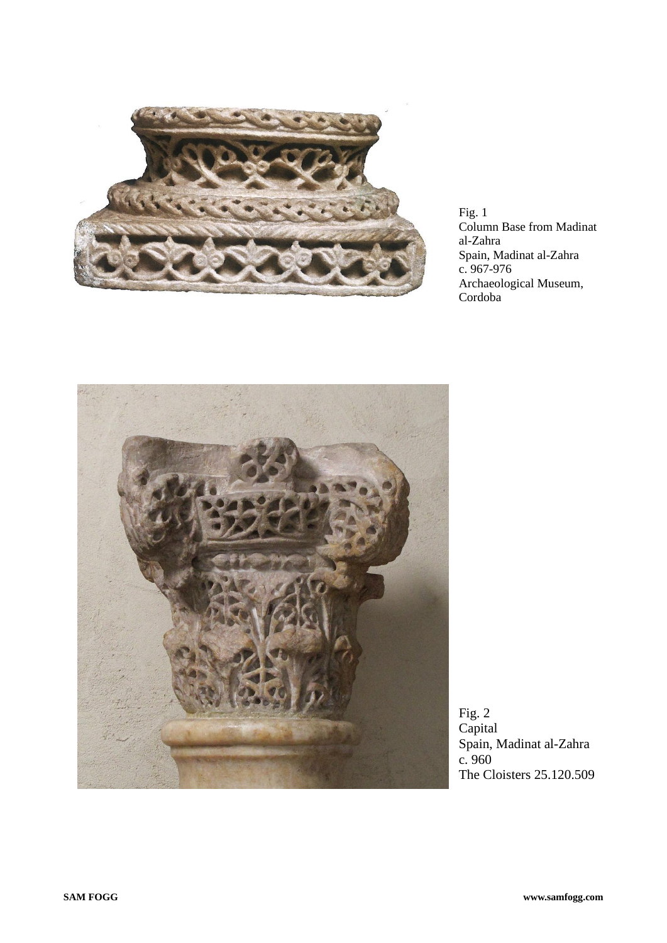

Fig. 1 Column Base from Madinat al-Zahra Spain, Madinat al-Zahra c. 967-976 Archaeological Museum, Cordoba



Fig. 2 Capital Spain, Madinat al-Zahra c. 960 The Cloisters 25.120.509